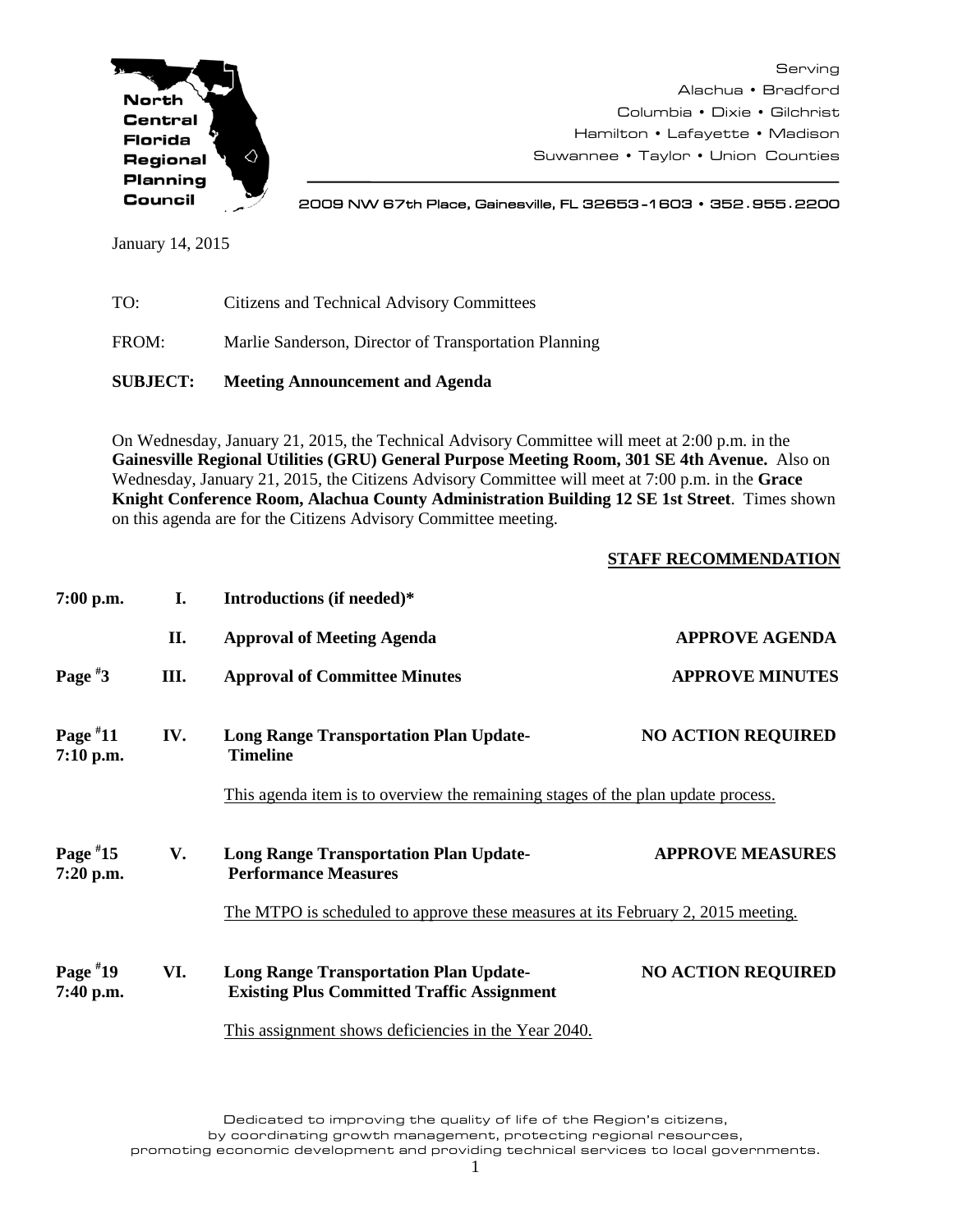

Serving Alachua • Bradford Columbia • Dixie • Gilchrist Hamilton • Lafayette • Madison Suwannee • Taylor • Union Counties

2009 NW 67th Place, Gainesville, FL 32653 -1603 • 352**.**955**.**2200

January 14, 2015

| <b>SUBJECT:</b> | <b>Meeting Announcement and Agenda</b>                |
|-----------------|-------------------------------------------------------|
| FROM:           | Marlie Sanderson, Director of Transportation Planning |
| TO:             | Citizens and Technical Advisory Committees            |

On Wednesday, January 21, 2015, the Technical Advisory Committee will meet at 2:00 p.m. in the **Gainesville Regional Utilities (GRU) General Purpose Meeting Room, 301 SE 4th Avenue.** Also on Wednesday, January 21, 2015, the Citizens Advisory Committee will meet at 7:00 p.m. in the **Grace Knight Conference Room, Alachua County Administration Building 12 SE 1st Street**. Times shown on this agenda are for the Citizens Advisory Committee meeting.

## **STAFF RECOMMENDATION**

| $7:00$ p.m.             | I.  | Introductions (if needed)*                                                                         |                           |
|-------------------------|-----|----------------------------------------------------------------------------------------------------|---------------------------|
|                         | II. | <b>Approval of Meeting Agenda</b>                                                                  | <b>APPROVE AGENDA</b>     |
| Page $*3$               | Ш.  | <b>Approval of Committee Minutes</b>                                                               | <b>APPROVE MINUTES</b>    |
| Page $*11$<br>7:10 p.m. | IV. | <b>Long Range Transportation Plan Update-</b><br><b>Timeline</b>                                   | <b>NO ACTION REQUIRED</b> |
|                         |     | This agenda item is to overview the remaining stages of the plan update process.                   |                           |
| Page $*15$<br>7:20 p.m. | V.  | <b>Long Range Transportation Plan Update-</b><br><b>Performance Measures</b>                       | <b>APPROVE MEASURES</b>   |
|                         |     | The MTPO is scheduled to approve these measures at its February 2, 2015 meeting.                   |                           |
| Page $*19$<br>7:40 p.m. | VI. | <b>Long Range Transportation Plan Update-</b><br><b>Existing Plus Committed Traffic Assignment</b> | <b>NO ACTION REQUIRED</b> |
|                         |     | This assignment shows deficiencies in the Year 2040.                                               |                           |